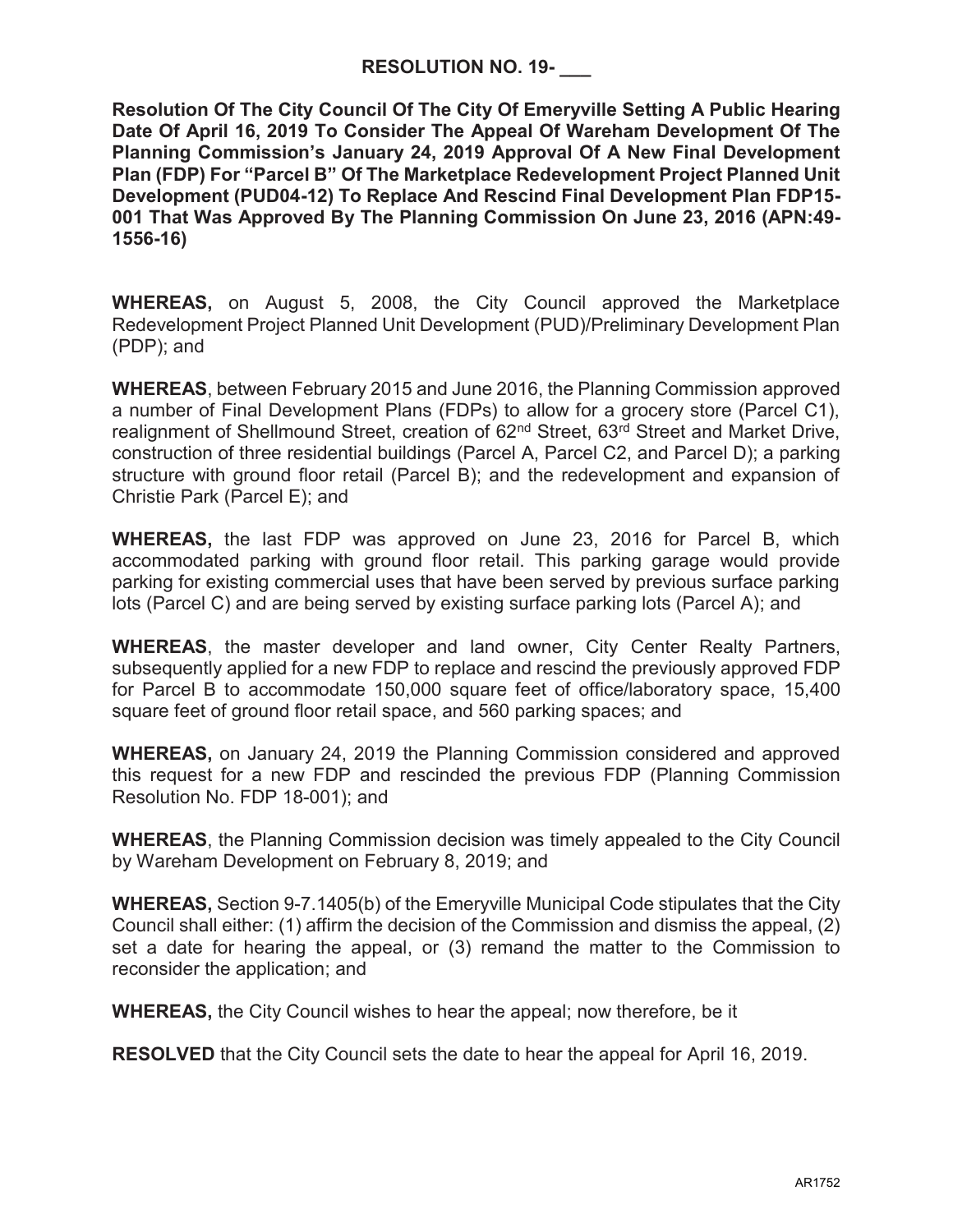**Resolution Of The City Council Of The City Of Emeryville Setting A Public Hearing Date Of April 16, 2019 To Consider The Appeal Of Wareham Development Of The Planning Commission's January 24, 2019 Approval Of A New Final Development Plan (FDP) For "Parcel B" Of The Marketplace Redevelopment Project Planned Unit Development (PUD04-12) To Replace And Rescind Final Development Plan FDP15- 001 That Was Approved By The Planning Commission On June 23, 2016 (APN:49- 1556-16)** 

**WHEREAS,** on August 5, 2008, the City Council approved the Marketplace Redevelopment Project Planned Unit Development (PUD)/Preliminary Development Plan (PDP); and

**WHEREAS**, between February 2015 and June 2016, the Planning Commission approved a number of Final Development Plans (FDPs) to allow for a grocery store (Parcel C1), realignment of Shellmound Street, creation of 62<sup>nd</sup> Street, 63<sup>rd</sup> Street and Market Drive, construction of three residential buildings (Parcel A, Parcel C2, and Parcel D); a parking structure with ground floor retail (Parcel B); and the redevelopment and expansion of Christie Park (Parcel E); and

**WHEREAS,** the last FDP was approved on June 23, 2016 for Parcel B, which accommodated parking with ground floor retail. This parking garage would provide parking for existing commercial uses that have been served by previous surface parking lots (Parcel C) and are being served by existing surface parking lots (Parcel A); and

**WHEREAS**, the master developer and land owner, City Center Realty Partners, subsequently applied for a new FDP to replace and rescind the previously approved FDP for Parcel B to accommodate 150,000 square feet of office/laboratory space, 15,400 square feet of ground floor retail space, and 560 parking spaces; and

**WHEREAS,** on January 24, 2019 the Planning Commission considered and approved this request for a new FDP and rescinded the previous FDP (Planning Commission Resolution No. FDP 18-001); and

**WHEREAS**, the Planning Commission decision was timely appealed to the City Council by Wareham Development on February 8, 2019; and

**WHEREAS,** Section 9-7.1405(b) of the Emeryville Municipal Code stipulates that the City Council shall either: (1) affirm the decision of the Commission and dismiss the appeal, (2) set a date for hearing the appeal, or (3) remand the matter to the Commission to reconsider the application; and

**WHEREAS,** the City Council wishes to hear the appeal; now therefore, be it

**RESOLVED** that the City Council sets the date to hear the appeal for April 16, 2019.